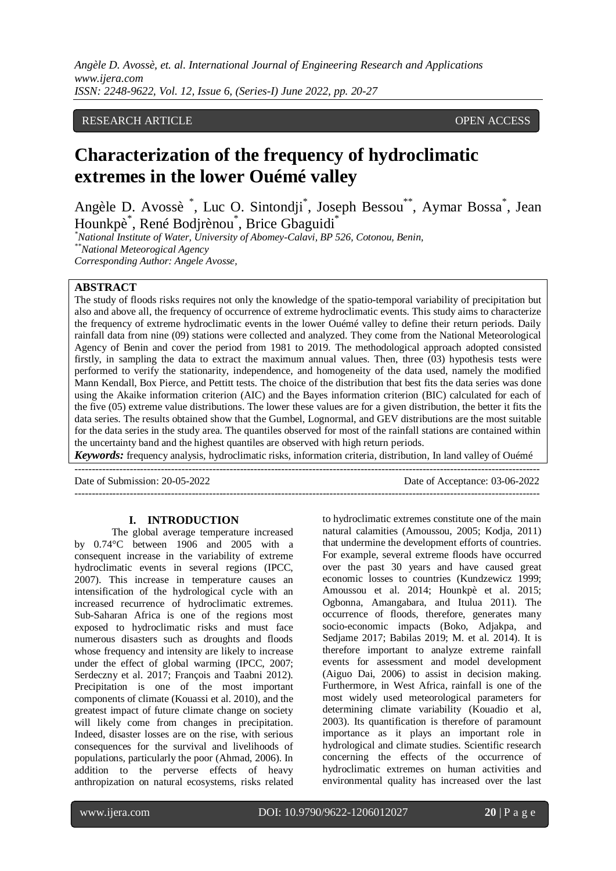*Angèle D. Avossè, et. al. International Journal of Engineering Research and Applications www.ijera.com ISSN: 2248-9622, Vol. 12, Issue 6, (Series-I) June 2022, pp. 20-27*

# RESEARCH ARTICLE **CONTRACT OPEN ACCESS**

# **Characterization of the frequency of hydroclimatic extremes in the lower Ouémé valley**

Angèle D. Avossè<sup>\*</sup>, Luc O. Sintondji<sup>\*</sup>, Joseph Bessou<sup>\*\*</sup>, Aymar Bossa<sup>\*</sup>, Jean Hounkpè \* , René Bodjrènou \* , Brice Gbaguidi\*

*\*National Institute of Water, University of Abomey-Calavi, BP 526, Cotonou, Benin, \*\*National Meteorogical Agency Corresponding Author: Angele Avosse,*

# **ABSTRACT**

The study of floods risks requires not only the knowledge of the spatio-temporal variability of precipitation but also and above all, the frequency of occurrence of extreme hydroclimatic events. This study aims to characterize the frequency of extreme hydroclimatic events in the lower Ouémé valley to define their return periods. Daily rainfall data from nine (09) stations were collected and analyzed. They come from the National Meteorological Agency of Benin and cover the period from 1981 to 2019. The methodological approach adopted consisted firstly, in sampling the data to extract the maximum annual values. Then, three (03) hypothesis tests were performed to verify the stationarity, independence, and homogeneity of the data used, namely the modified Mann Kendall, Box Pierce, and Pettitt tests. The choice of the distribution that best fits the data series was done using the Akaike information criterion (AIC) and the Bayes information criterion (BIC) calculated for each of the five (05) extreme value distributions. The lower these values are for a given distribution, the better it fits the data series. The results obtained show that the Gumbel, Lognormal, and GEV distributions are the most suitable for the data series in the study area. The quantiles observed for most of the rainfall stations are contained within the uncertainty band and the highest quantiles are observed with high return periods.

*Keywords:* frequency analysis, hydroclimatic risks, information criteria, distribution, In land valley of Ouémé ---------------------------------------------------------------------------------------------------------------------------------------

Date of Submission: 20-05-2022 Date of Acceptance: 03-06-2022 ---------------------------------------------------------------------------------------------------------------------------------------

#### **I. INTRODUCTION**

The global average temperature increased by 0.74°C between 1906 and 2005 with a consequent increase in the variability of extreme hydroclimatic events in several regions (IPCC, 2007). This increase in temperature causes an intensification of the hydrological cycle with an increased recurrence of hydroclimatic extremes. Sub-Saharan Africa is one of the regions most exposed to hydroclimatic risks and must face numerous disasters such as droughts and floods whose frequency and intensity are likely to increase under the effect of global warming (IPCC, 2007; Serdeczny et al. 2017; François and Taabni 2012). Precipitation is one of the most important components of climate (Kouassi et al. 2010), and the greatest impact of future climate change on society will likely come from changes in precipitation. Indeed, disaster losses are on the rise, with serious consequences for the survival and livelihoods of populations, particularly the poor (Ahmad, 2006). In addition to the perverse effects of heavy anthropization on natural ecosystems, risks related

to hydroclimatic extremes constitute one of the main natural calamities (Amoussou, 2005; Kodja, 2011) that undermine the development efforts of countries. For example, several extreme floods have occurred over the past 30 years and have caused great economic losses to countries (Kundzewicz 1999; Amoussou et al. 2014; Hounkpè et al. 2015; Ogbonna, Amangabara, and Itulua 2011). The occurrence of floods, therefore, generates many socio-economic impacts (Boko, Adjakpa, and Sedjame 2017; Babilas 2019; M. et al. 2014). It is therefore important to analyze extreme rainfall events for assessment and model development (Aiguo Dai, 2006) to assist in decision making. Furthermore, in West Africa, rainfall is one of the most widely used meteorological parameters for determining climate variability (Kouadio et al, 2003). Its quantification is therefore of paramount importance as it plays an important role in hydrological and climate studies. Scientific research concerning the effects of the occurrence of hydroclimatic extremes on human activities and environmental quality has increased over the last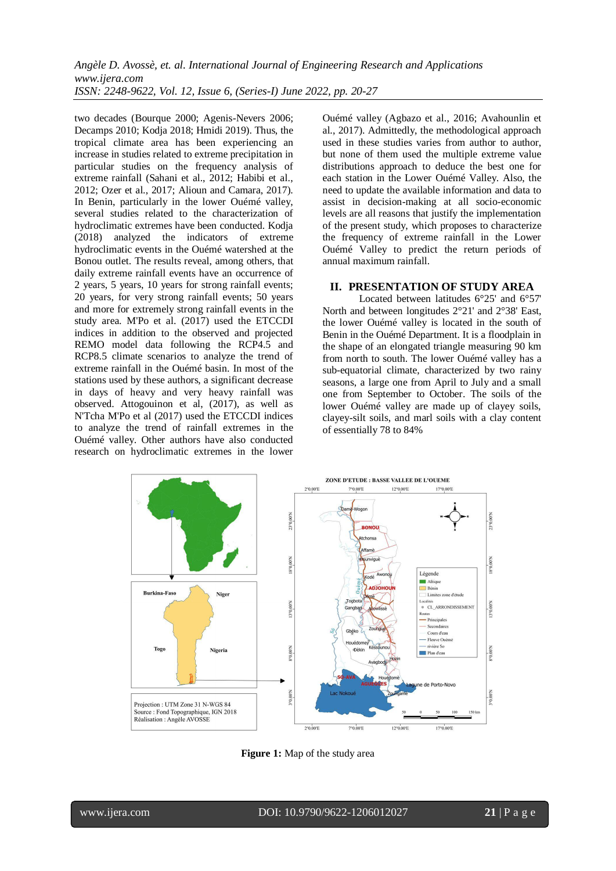two decades (Bourque 2000; Agenis-Nevers 2006; Decamps 2010; Kodja 2018; Hmidi 2019). Thus, the tropical climate area has been experiencing an increase in studies related to extreme precipitation in particular studies on the frequency analysis of extreme rainfall (Sahani et al., 2012; Habibi et al., 2012; Ozer et al., 2017; Alioun and Camara, 2017). In Benin, particularly in the lower Ouémé valley, several studies related to the characterization of hydroclimatic extremes have been conducted. Kodja (2018) analyzed the indicators of extreme hydroclimatic events in the Ouémé watershed at the Bonou outlet. The results reveal, among others, that daily extreme rainfall events have an occurrence of 2 years, 5 years, 10 years for strong rainfall events; 20 years, for very strong rainfall events; 50 years and more for extremely strong rainfall events in the study area. M'Po et al. (2017) used the ETCCDI indices in addition to the observed and projected REMO model data following the RCP4.5 and RCP8.5 climate scenarios to analyze the trend of extreme rainfall in the Ouémé basin. In most of the stations used by these authors, a significant decrease in days of heavy and very heavy rainfall was observed. Attogouinon et al, (2017), as well as N'Tcha M'Po et al (2017) used the ETCCDI indices to analyze the trend of rainfall extremes in the Ouémé valley. Other authors have also conducted research on hydroclimatic extremes in the lower Ouémé valley (Agbazo et al., 2016; Avahounlin et al., 2017). Admittedly, the methodological approach used in these studies varies from author to author, but none of them used the multiple extreme value distributions approach to deduce the best one for each station in the Lower Ouémé Valley. Also, the need to update the available information and data to assist in decision-making at all socio-economic levels are all reasons that justify the implementation of the present study, which proposes to characterize the frequency of extreme rainfall in the Lower Ouémé Valley to predict the return periods of annual maximum rainfall.

## **II. PRESENTATION OF STUDY AREA**

Located between latitudes 6°25' and 6°57' North and between longitudes 2°21' and 2°38' East, the lower Ouémé valley is located in the south of Benin in the Ouémé Department. It is a floodplain in the shape of an elongated triangle measuring 90 km from north to south. The lower Ouémé valley has a sub-equatorial climate, characterized by two rainy seasons, a large one from April to July and a small one from September to October. The soils of the lower Ouémé valley are made up of clayey soils, clayey-silt soils, and marl soils with a clay content of essentially 78 to 84%



**Figure 1:** Map of the study area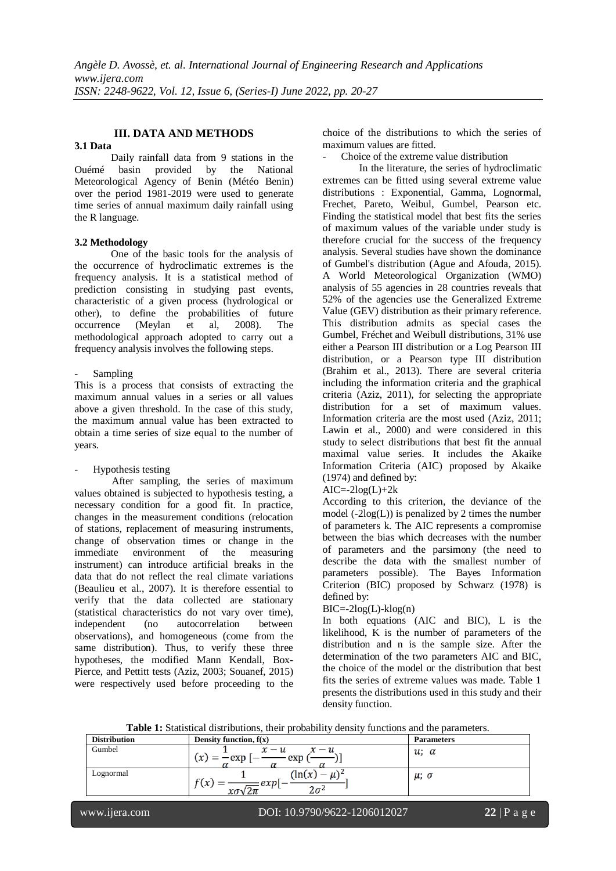# **III. DATA AND METHODS**

#### **3.1 Data**

Daily rainfall data from 9 stations in the Ouémé basin provided by the National Meteorological Agency of Benin (Météo Benin) over the period 1981-2019 were used to generate time series of annual maximum daily rainfall using the R language.

## **3.2 Methodology**

One of the basic tools for the analysis of the occurrence of hydroclimatic extremes is the frequency analysis. It is a statistical method of prediction consisting in studying past events, characteristic of a given process (hydrological or other), to define the probabilities of future occurrence (Meylan et al, 2008). The methodological approach adopted to carry out a frequency analysis involves the following steps.

## **Sampling**

This is a process that consists of extracting the maximum annual values in a series or all values above a given threshold. In the case of this study, the maximum annual value has been extracted to obtain a time series of size equal to the number of years.

# Hypothesis testing

After sampling, the series of maximum values obtained is subjected to hypothesis testing, a necessary condition for a good fit. In practice, changes in the measurement conditions (relocation of stations, replacement of measuring instruments, change of observation times or change in the immediate environment of the instrument) can introduce artificial breaks in the data that do not reflect the real climate variations (Beaulieu et al., 2007). It is therefore essential to verify that the data collected are stationary (statistical characteristics do not vary over time), independent (no autocorrelation between observations), and homogeneous (come from the same distribution). Thus, to verify these three hypotheses, the modified Mann Kendall, Box-Pierce, and Pettitt tests (Aziz, 2003; Souanef, 2015) were respectively used before proceeding to the choice of the distributions to which the series of maximum values are fitted.

Choice of the extreme value distribution

In the literature, the series of hydroclimatic extremes can be fitted using several extreme value distributions : Exponential, Gamma, Lognormal, Frechet, Pareto, Weibul, Gumbel, Pearson etc. Finding the statistical model that best fits the series of maximum values of the variable under study is therefore crucial for the success of the frequency analysis. Several studies have shown the dominance of Gumbel's distribution (Ague and Afouda, 2015). A World Meteorological Organization (WMO) analysis of 55 agencies in 28 countries reveals that 52% of the agencies use the Generalized Extreme Value (GEV) distribution as their primary reference. This distribution admits as special cases the Gumbel, Fréchet and Weibull distributions, 31% use either a Pearson III distribution or a Log Pearson III distribution, or a Pearson type III distribution (Brahim et al., 2013). There are several criteria including the information criteria and the graphical criteria (Aziz, 2011), for selecting the appropriate distribution for a set of maximum values. Information criteria are the most used (Aziz, 2011; Lawin et al., 2000) and were considered in this study to select distributions that best fit the annual maximal value series. It includes the Akaike Information Criteria (AIC) proposed by Akaike (1974) and defined by:

#### $AIC = -2log(L) + 2k$

According to this criterion, the deviance of the model  $(-2log(L))$  is penalized by 2 times the number of parameters k. The AIC represents a compromise between the bias which decreases with the number of parameters and the parsimony (the need to describe the data with the smallest number of parameters possible). The Bayes Information Criterion (BIC) proposed by Schwarz (1978) is defined by:

# $BIC = -2log(L) - klog(n)$

In both equations (AIC and BIC), L is the likelihood, K is the number of parameters of the distribution and n is the sample size. After the determination of the two parameters AIC and BIC, the choice of the model or the distribution that best fits the series of extreme values was made. Table 1 presents the distributions used in this study and their density function.

| <b>Distribution</b> | Density function, $f(x)$                  | <b>Parameters</b> |
|---------------------|-------------------------------------------|-------------------|
| Gumbel              | $x - u$<br>$x - u$<br>exp<br>exp<br>(x)   | $u; \alpha$       |
| Lognormal           | ln(x)<br>exp<br>$\chi(x)$<br>$2\pi$<br>хσ | $\mu$ ; $\sigma$  |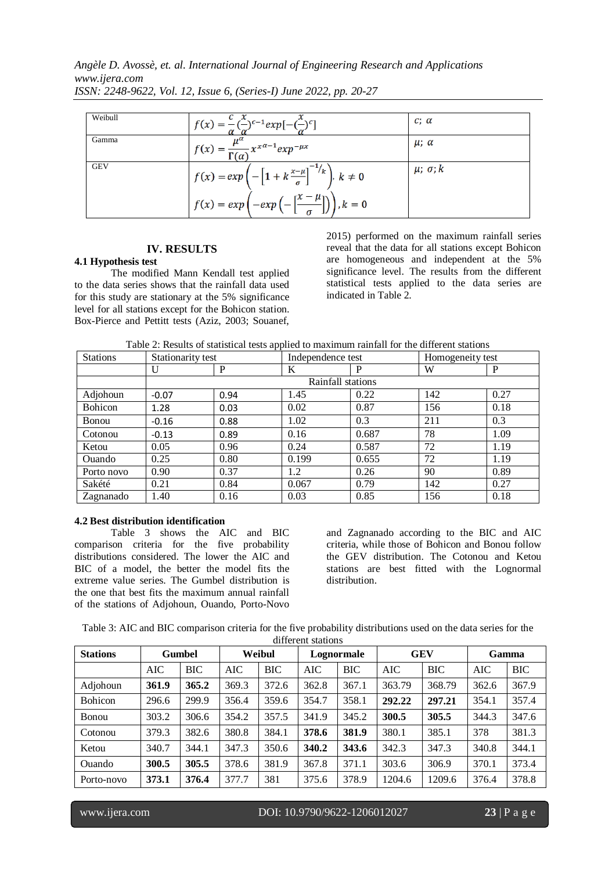*Angèle D. Avossè, et. al. International Journal of Engineering Research and Applications www.ijera.com*

| Weibull    | $f(x) = -(-)^{c-1} exp[-(-)^{c}]$                                                                        | $c: \alpha$            |
|------------|----------------------------------------------------------------------------------------------------------|------------------------|
| Gamma      | $\sqrt{f(x)} = \frac{\mu^{\alpha}}{\Gamma(\alpha)} x^{x^{\alpha-1}} exp^{-\mu x}$                        | $\mu$ ; $\alpha$       |
| <b>GEV</b> | $\left  f(x) = exp \left( -\left[ 1 + k \frac{x-\mu}{\sigma} \right]^{-1} \right  k \right , k \neq 0$   | $\mu$ ; $\sigma$ ; $k$ |
|            | $\left  f(x) = exp\left( -exp\left( -\left[ \frac{x-\mu}{\sigma} \right] \right) \right) \right , k = 0$ |                        |

*ISSN: 2248-9622, Vol. 12, Issue 6, (Series-I) June 2022, pp. 20-27*

# **IV. RESULTS**

## **4.1 Hypothesis test**

The modified Mann Kendall test applied to the data series shows that the rainfall data used for this study are stationary at the 5% significance level for all stations except for the Bohicon station. Box-Pierce and Pettitt tests (Aziz, 2003; Souanef, 2015) performed on the maximum rainfall series reveal that the data for all stations except Bohicon are homogeneous and independent at the 5% significance level. The results from the different statistical tests applied to the data series are indicated in Table 2.

| <b>Stations</b> | Stationarity test |      | Independence test |       | Homogeneity test |      |  |  |
|-----------------|-------------------|------|-------------------|-------|------------------|------|--|--|
|                 | U                 | P    | K                 | P     | W                | P    |  |  |
|                 | Rainfall stations |      |                   |       |                  |      |  |  |
| Adjohoun        | $-0.07$           | 0.94 | 1.45              | 0.22  | 142              | 0.27 |  |  |
| <b>Bohicon</b>  | 1.28              | 0.03 | 0.02              | 0.87  | 156              | 0.18 |  |  |
| <b>Bonou</b>    | $-0.16$           | 0.88 | 1.02              | 0.3   | 211              | 0.3  |  |  |
| Cotonou         | $-0.13$           | 0.89 | 0.16              | 0.687 | 78               | 1.09 |  |  |
| Ketou           | 0.05              | 0.96 | 0.24              | 0.587 | 72               | 1.19 |  |  |
| Ouando          | 0.25              | 0.80 | 0.199             | 0.655 | 72               | 1.19 |  |  |
| Porto novo      | 0.90              | 0.37 | 1.2               | 0.26  | 90               | 0.89 |  |  |
| Sakété          | 0.21              | 0.84 | 0.067             | 0.79  | 142              | 0.27 |  |  |
| Zagnanado       | 1.40              | 0.16 | 0.03              | 0.85  | 156              | 0.18 |  |  |

#### **4.2 Best distribution identification**

Table 3 shows the AIC and BIC comparison criteria for the five probability distributions considered. The lower the AIC and BIC of a model, the better the model fits the extreme value series. The Gumbel distribution is the one that best fits the maximum annual rainfall of the stations of Adjohoun, Ouando, Porto-Novo

and Zagnanado according to the BIC and AIC criteria, while those of Bohicon and Bonou follow the GEV distribution. The Cotonou and Ketou stations are best fitted with the Lognormal distribution.

| Table 3: AIC and BIC comparison criteria for the five probability distributions used on the data series for the |  |
|-----------------------------------------------------------------------------------------------------------------|--|
| different stations                                                                                              |  |

| <b>Stations</b> | <b>Gumbel</b> |       | Weibul     |            | Lognormale |            | <b>GEV</b> |            | Gamma |            |
|-----------------|---------------|-------|------------|------------|------------|------------|------------|------------|-------|------------|
|                 | AIC           | BIC   | <b>AIC</b> | <b>BIC</b> | AIC        | <b>BIC</b> | <b>AIC</b> | <b>BIC</b> | AIC   | <b>BIC</b> |
| Adjohoun        | 361.9         | 365.2 | 369.3      | 372.6      | 362.8      | 367.1      | 363.79     | 368.79     | 362.6 | 367.9      |
| <b>Bohicon</b>  | 296.6         | 299.9 | 356.4      | 359.6      | 354.7      | 358.1      | 292.22     | 297.21     | 354.1 | 357.4      |
| Bonou           | 303.2         | 306.6 | 354.2      | 357.5      | 341.9      | 345.2      | 300.5      | 305.5      | 344.3 | 347.6      |
| Cotonou         | 379.3         | 382.6 | 380.8      | 384.1      | 378.6      | 381.9      | 380.1      | 385.1      | 378   | 381.3      |
| Ketou           | 340.7         | 344.1 | 347.3      | 350.6      | 340.2      | 343.6      | 342.3      | 347.3      | 340.8 | 344.1      |
| Ouando          | 300.5         | 305.5 | 378.6      | 381.9      | 367.8      | 371.1      | 303.6      | 306.9      | 370.1 | 373.4      |
| Porto-novo      | 373.1         | 376.4 | 377.7      | 381        | 375.6      | 378.9      | 1204.6     | 1209.6     | 376.4 | 378.8      |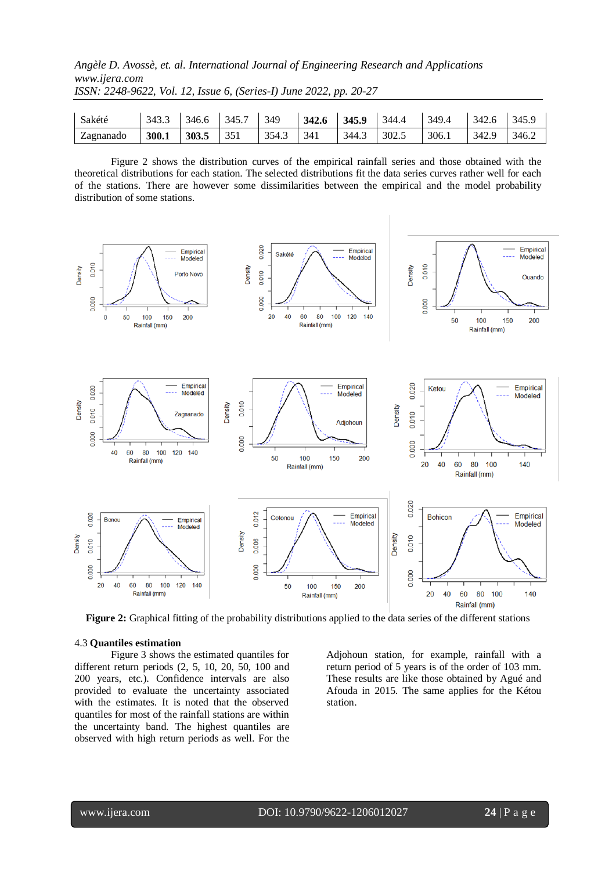# *Angèle D. Avossè, et. al. International Journal of Engineering Research and Applications www.ijera.com ISSN: 2248-9622, Vol. 12, Issue 6, (Series-I) June 2022, pp. 20-27*

| Sakété    |  |  |  | $\vert$ 343.3 $\vert$ 346.6 $\vert$ 345.7 $\vert$ 349 $\vert$ 342.6 $\vert$ 345.9 $\vert$ 344.4 $\vert$ 349.4 $\vert$ 342.6 $\vert$ 345.9 |  |  |
|-----------|--|--|--|-------------------------------------------------------------------------------------------------------------------------------------------|--|--|
| Zagnanado |  |  |  | 300.1   303.5   351   354.3   341   344.3   302.5   306.1   342.9   346.2                                                                 |  |  |

Figure 2 shows the distribution curves of the empirical rainfall series and those obtained with the theoretical distributions for each station. The selected distributions fit the data series curves rather well for each of the stations. There are however some dissimilarities between the empirical and the model probability distribution of some stations.



**Figure 2:** Graphical fitting of the probability distributions applied to the data series of the different stations

#### 4.3 **Quantiles estimation**

Figure 3 shows the estimated quantiles for different return periods (2, 5, 10, 20, 50, 100 and 200 years, etc.). Confidence intervals are also provided to evaluate the uncertainty associated with the estimates. It is noted that the observed quantiles for most of the rainfall stations are within the uncertainty band. The highest quantiles are observed with high return periods as well. For the

Adjohoun station, for example, rainfall with a return period of 5 years is of the order of 103 mm. These results are like those obtained by Agué and Afouda in 2015. The same applies for the Kétou station.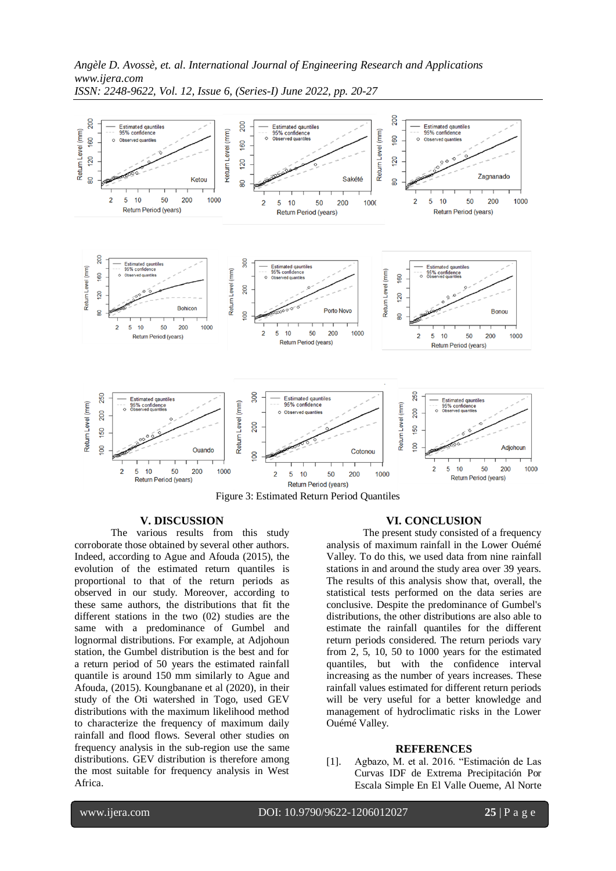

*Angèle D. Avossè, et. al. International Journal of Engineering Research and Applications www.ijera.com ISSN: 2248-9622, Vol. 12, Issue 6, (Series-I) June 2022, pp. 20-27*

Figure 3: Estimated Return Period Quantiles

## **V. DISCUSSION**

The various results from this study corroborate those obtained by several other authors. Indeed, according to Ague and Afouda (2015), the evolution of the estimated return quantiles is proportional to that of the return periods as observed in our study. Moreover, according to these same authors, the distributions that fit the different stations in the two (02) studies are the same with a predominance of Gumbel and lognormal distributions. For example, at Adjohoun station, the Gumbel distribution is the best and for a return period of 50 years the estimated rainfall quantile is around 150 mm similarly to Ague and Afouda, (2015). Koungbanane et al (2020), in their study of the Oti watershed in Togo, used GEV distributions with the maximum likelihood method to characterize the frequency of maximum daily rainfall and flood flows. Several other studies on frequency analysis in the sub-region use the same distributions. GEV distribution is therefore among the most suitable for frequency analysis in West Africa.

#### **VI. CONCLUSION**

The present study consisted of a frequency analysis of maximum rainfall in the Lower Ouémé Valley. To do this, we used data from nine rainfall stations in and around the study area over 39 years. The results of this analysis show that, overall, the statistical tests performed on the data series are conclusive. Despite the predominance of Gumbel's distributions, the other distributions are also able to estimate the rainfall quantiles for the different return periods considered. The return periods vary from 2, 5, 10, 50 to 1000 years for the estimated quantiles, but with the confidence interval increasing as the number of years increases. These rainfall values estimated for different return periods will be very useful for a better knowledge and management of hydroclimatic risks in the Lower Ouémé Valley.

#### **REFERENCES**

[1]. Agbazo, M. et al. 2016. "Estimación de Las Curvas IDF de Extrema Precipitación Por Escala Simple En El Valle Oueme, Al Norte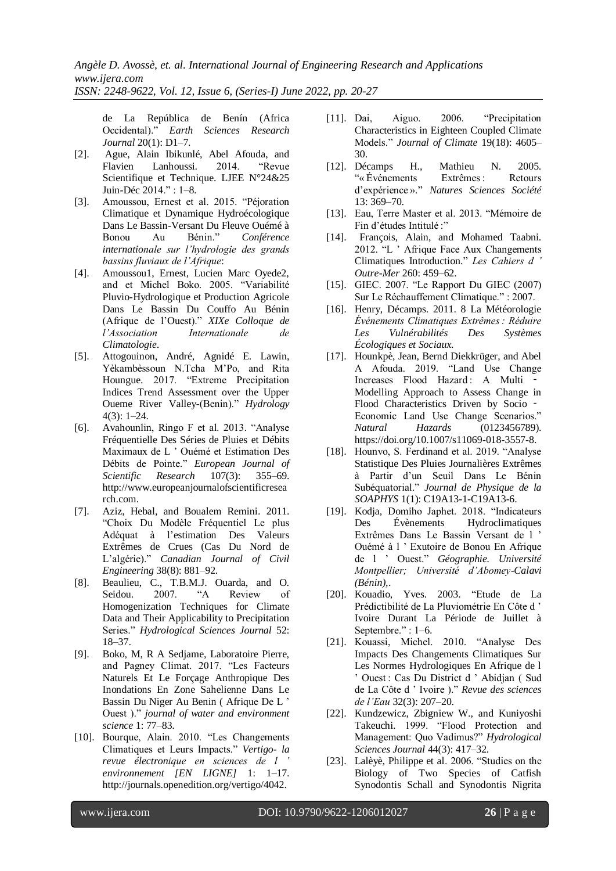de La República de Benín (Africa Occidental)." *Earth Sciences Research Journal* 20(1): D1–7.

- [2]. Ague, Alain Ibikunlé, Abel Afouda, and Lanhoussi. 2014. "Revue Scientifique et Technique. LJEE N°24&25 Juin-Déc 2014." : 1–8.
- [3]. Amoussou, Ernest et al. 2015. "Péjoration Climatique et Dynamique Hydroécologique Dans Le Bassin-Versant Du Fleuve Ouémé à Bonou Au Bénin." *Conférence internationale sur l'hydrologie des grands bassins fluviaux de l'Afrique*:
- [4]. Amoussou1, Ernest, Lucien Marc Oyede2, and et Michel Boko. 2005. "Variabilité Pluvio-Hydrologique et Production Agricole Dans Le Bassin Du Couffo Au Bénin (Afrique de l'Ouest)." *XIXe Colloque de l'Association Internationale de Climatologie*.
- [5]. Attogouinon, André, Agnidé E. Lawin, Yèkambèssoun N.Tcha M'Po, and Rita Houngue. 2017. "Extreme Precipitation Indices Trend Assessment over the Upper Oueme River Valley-(Benin)." *Hydrology* 4(3): 1–24.
- [6]. Avahounlin, Ringo F et al. 2013. "Analyse Fréquentielle Des Séries de Pluies et Débits Maximaux de L ' Ouémé et Estimation Des Débits de Pointe." *European Journal of Scientific Research* 107(3): 355–69. http://www.europeanjournalofscientificresea rch.com.
- [7]. Aziz, Hebal, and Boualem Remini. 2011. "Choix Du Modèle Fréquentiel Le plus Adéquat à l'estimation Des Valeurs Extrêmes de Crues (Cas Du Nord de L'algérie)." *Canadian Journal of Civil Engineering* 38(8): 881–92.
- [8]. Beaulieu, C., T.B.M.J. Ouarda, and O. Seidou. 2007. "A Review of Homogenization Techniques for Climate Data and Their Applicability to Precipitation Series." *Hydrological Sciences Journal* 52: 18–37.
- [9]. Boko, M, R A Sedjame, Laboratoire Pierre, and Pagney Climat. 2017. "Les Facteurs Naturels Et Le Forçage Anthropique Des Inondations En Zone Sahelienne Dans Le Bassin Du Niger Au Benin ( Afrique De L ' Ouest )." *journal of water and environment science* 1: 77–83.
- [10]. Bourque, Alain. 2010. "Les Changements Climatiques et Leurs Impacts." *Vertigo- la revue électronique en sciences de l ' environnement [EN LIGNE]* 1: 1–17. http://journals.openedition.org/vertigo/4042.
- [11]. Dai, Aiguo. 2006. "Precipitation Characteristics in Eighteen Coupled Climate Models." *Journal of Climate* 19(18): 4605– 30.
- [12]. Décamps H., Mathieu N. 2005. "« Événements Extrêmes : Retours d'expérience »." *Natures Sciences Société* 13: 369–70.
- [13]. Eau, Terre Master et al. 2013. "Mémoire de Fin d'études Intitulé :"
- [14]. François, Alain, and Mohamed Taabni. 2012. "L ' Afrique Face Aux Changements Climatiques Introduction." *Les Cahiers d ' Outre-Mer* 260: 459–62.
- [15]. GIEC. 2007. "Le Rapport Du GIEC (2007) Sur Le Réchauffement Climatique." : 2007.
- [16]. Henry, Décamps. 2011. 8 La Météorologie *Événements Climatiques Extrêmes : Réduire Les Vulnérabilités Des Systèmes Écologiques et Sociaux*.
- [17]. Hounkpè, Jean, Bernd Diekkrüger, and Abel A Afouda. 2019. "Land Use Change Increases Flood Hazard : A Multi ‑ Modelling Approach to Assess Change in Flood Characteristics Driven by Socio -Economic Land Use Change Scenarios." *Natural Hazards* (0123456789). https://doi.org/10.1007/s11069-018-3557-8.
- [18]. Hounvo, S. Ferdinand et al. 2019. "Analyse Statistique Des Pluies Journalières Extrêmes à Partir d'un Seuil Dans Le Bénin Subéquatorial." *Journal de Physique de la SOAPHYS* 1(1): C19A13-1-C19A13-6.
- [19]. Kodja, Domiho Japhet. 2018. "Indicateurs Des Évènements Hydroclimatiques Extrêmes Dans Le Bassin Versant de l ' Ouémé à l ' Exutoire de Bonou En Afrique de l ' Ouest." *Géographie. Université Montpellier; Université d'Abomey-Calavi (Bénin),*.
- [20]. Kouadio, Yves. 2003. "Etude de La Prédictibilité de La Pluviométrie En Côte d ' Ivoire Durant La Période de Juillet à Septembre." : 1–6.
- [21]. Kouassi, Michel. 2010. "Analyse Des Impacts Des Changements Climatiques Sur Les Normes Hydrologiques En Afrique de l ' Ouest : Cas Du District d ' Abidjan ( Sud de La Côte d ' Ivoire )." *Revue des sciences de l'Eau* 32(3): 207–20.
- [22]. Kundzewicz, Zbigniew W., and Kuniyoshi Takeuchi. 1999. "Flood Protection and Management: Quo Vadimus?" *Hydrological Sciences Journal* 44(3): 417–32.
- [23]. Lalèyè, Philippe et al. 2006. "Studies on the Biology of Two Species of Catfish Synodontis Schall and Synodontis Nigrita